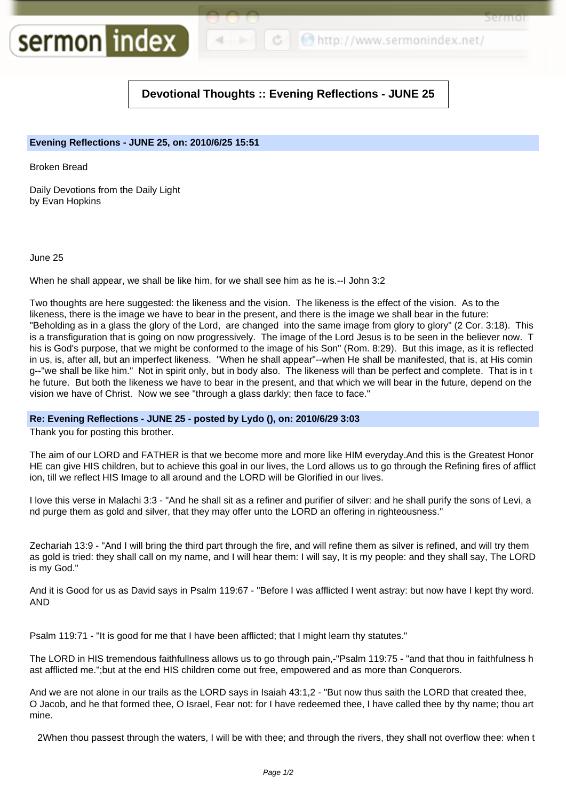○ http://www.sermonindex.net/

Sel ITIOI

## **Devotional Thoughts :: Evening Reflections - JUNE 25**

## **Evening Reflections - JUNE 25, on: 2010/6/25 15:51**

Broken Bread

Daily Devotions from the Daily Light by Evan Hopkins

sermon index

June 25

When he shall appear, we shall be like him, for we shall see him as he is.--I John 3:2

Two thoughts are here suggested: the likeness and the vision. The likeness is the effect of the vision. As to the likeness, there is the image we have to bear in the present, and there is the image we shall bear in the future: "Beholding as in a glass the glory of the Lord, are changed into the same image from glory to glory" (2 Cor. 3:18). This is a transfiguration that is going on now progressively. The image of the Lord Jesus is to be seen in the believer now. T his is God's purpose, that we might be conformed to the image of his Son" (Rom. 8:29). But this image, as it is reflected in us, is, after all, but an imperfect likeness. "When he shall appear"--when He shall be manifested, that is, at His comin g--"we shall be like him." Not in spirit only, but in body also. The likeness will than be perfect and complete. That is in t he future. But both the likeness we have to bear in the present, and that which we will bear in the future, depend on the vision we have of Christ. Now we see "through a glass darkly; then face to face."

## **Re: Evening Reflections - JUNE 25 - posted by Lydo (), on: 2010/6/29 3:03**

Thank you for posting this brother.

The aim of our LORD and FATHER is that we become more and more like HIM everyday.And this is the Greatest Honor HE can give HIS children, but to achieve this goal in our lives, the Lord allows us to go through the Refining fires of afflict ion, till we reflect HIS Image to all around and the LORD will be Glorified in our lives.

I love this verse in Malachi 3:3 - "And he shall sit as a refiner and purifier of silver: and he shall purify the sons of Levi, a nd purge them as gold and silver, that they may offer unto the LORD an offering in righteousness."

Zechariah 13:9 - "And I will bring the third part through the fire, and will refine them as silver is refined, and will try them as gold is tried: they shall call on my name, and I will hear them: I will say, It is my people: and they shall say, The LORD is my God."

And it is Good for us as David says in Psalm 119:67 - "Before I was afflicted I went astray: but now have I kept thy word. AND

Psalm 119:71 - "It is good for me that I have been afflicted; that I might learn thy statutes."

The LORD in HIS tremendous faithfullness allows us to go through pain,-"Psalm 119:75 - "and that thou in faithfulness h ast afflicted me.";but at the end HIS children come out free, empowered and as more than Conquerors.

And we are not alone in our trails as the LORD says in Isaiah 43:1,2 - "But now thus saith the LORD that created thee, O Jacob, and he that formed thee, O Israel, Fear not: for I have redeemed thee, I have called thee by thy name; thou art mine.

2When thou passest through the waters, I will be with thee; and through the rivers, they shall not overflow thee: when t